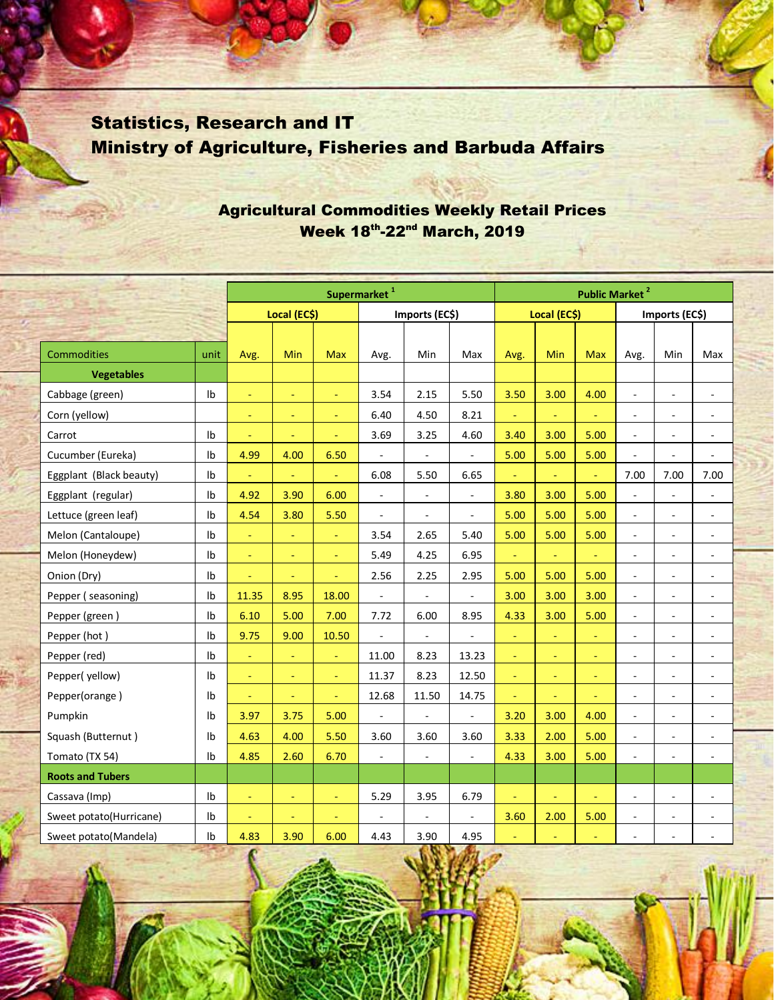## Statistics, Research and IT Ministry of Agriculture, Fisheries and Barbuda Affairs

## Agricultural Commodities Weekly Retail Prices Week 18th-22nd March, 2019

|                         |                | Supermarket <sup>1</sup> |                |                |                          |                |                          |              | <b>Public Market<sup>2</sup></b> |            |                          |                          |                             |  |  |  |
|-------------------------|----------------|--------------------------|----------------|----------------|--------------------------|----------------|--------------------------|--------------|----------------------------------|------------|--------------------------|--------------------------|-----------------------------|--|--|--|
|                         |                | Local (EC\$)             |                |                | Imports (EC\$)           |                |                          | Local (EC\$) |                                  |            | Imports (EC\$)           |                          |                             |  |  |  |
|                         |                |                          |                |                |                          |                |                          |              |                                  |            |                          |                          |                             |  |  |  |
| <b>Commodities</b>      | unit           | Avg.                     | <b>Min</b>     | <b>Max</b>     | Avg.                     | Min            | Max                      | Avg.         | <b>Min</b>                       | <b>Max</b> | Avg.                     | Min                      | Max                         |  |  |  |
| <b>Vegetables</b>       |                |                          |                |                |                          |                |                          |              |                                  |            |                          |                          |                             |  |  |  |
| Cabbage (green)         | Ib             | $\equiv$                 | ä,             | $\omega$       | 3.54                     | 2.15           | 5.50                     | 3.50         | 3.00                             | 4.00       | $\overline{\phantom{a}}$ | ÷,                       | ÷,                          |  |  |  |
| Corn (yellow)           |                | $\equiv$                 | Ξ              | $\equiv$       | 6.40                     | 4.50           | 8.21                     | $\Box$       | ÷                                |            | ÷,                       | ÷                        | $\overline{\phantom{a}}$    |  |  |  |
| Carrot                  | Ib             | $\equiv$                 | Ξ              | $\blacksquare$ | 3.69                     | 3.25           | 4.60                     | 3.40         | 3.00                             | 5.00       | $\blacksquare$           | $\overline{\phantom{a}}$ | $\overline{\phantom{a}}$    |  |  |  |
| Cucumber (Eureka)       | lb             | 4.99                     | 4.00           | 6.50           | $\overline{\phantom{a}}$ |                |                          | 5.00         | 5.00                             | 5.00       | $\overline{\phantom{a}}$ | ÷                        | ÷.                          |  |  |  |
| Eggplant (Black beauty) | Ib             | $\Box$                   |                | $\omega$       | 6.08                     | 5.50           | 6.65                     |              | L,                               | ä,         | 7.00                     | 7.00                     | 7.00                        |  |  |  |
| Eggplant (regular)      | Ib             | 4.92                     | 3.90           | 6.00           | $\overline{\phantom{a}}$ | $\Box$         | $\overline{\phantom{a}}$ | 3.80         | 3.00                             | 5.00       | $\blacksquare$           | $\overline{\phantom{a}}$ | $\overline{\phantom{a}}$    |  |  |  |
| Lettuce (green leaf)    | Ib             | 4.54                     | 3.80           | 5.50           | $\blacksquare$           | ÷,             | $\overline{\phantom{a}}$ | 5.00         | 5.00                             | 5.00       | $\overline{\phantom{a}}$ | ÷,                       | $\overline{\phantom{a}}$    |  |  |  |
| Melon (Cantaloupe)      | Ib             | $\equiv$                 | $\equiv$       | $\equiv$       | 3.54                     | 2.65           | 5.40                     | 5.00         | 5.00                             | 5.00       | ÷,                       | ٠                        | $\overline{\phantom{a}}$    |  |  |  |
| Melon (Honeydew)        | Ib             | $\omega$                 | $\equiv$       | $\blacksquare$ | 5.49                     | 4.25           | 6.95                     | $\equiv$     | $\omega$                         | $\omega$   | $\overline{\phantom{a}}$ | $\overline{\phantom{a}}$ | $\overline{\phantom{a}}$    |  |  |  |
| Onion (Dry)             | Ib             | $\equiv$                 | $\blacksquare$ | Ξ              | 2.56                     | 2.25           | 2.95                     | 5.00         | 5.00                             | 5.00       | $\overline{\phantom{a}}$ | $\overline{\phantom{a}}$ | $\overline{\phantom{a}}$    |  |  |  |
| Pepper (seasoning)      | Ib             | 11.35                    | 8.95           | 18.00          | $\Box$                   | $\overline{a}$ |                          | 3.00         | 3.00                             | 3.00       | ÷,                       | ÷                        | $\overline{\phantom{a}}$    |  |  |  |
| Pepper (green)          | Ib             | 6.10                     | 5.00           | 7.00           | 7.72                     | 6.00           | 8.95                     | 4.33         | 3.00                             | 5.00       | $\overline{\phantom{a}}$ | $\overline{\phantom{a}}$ | $\blacksquare$              |  |  |  |
| Pepper (hot)            | Ib             | 9.75                     | 9.00           | 10.50          | $\mathbf{r}$             | ä,             | L.                       | $\equiv$     | $\equiv$                         | $\equiv$   | $\overline{\phantom{a}}$ | $\overline{\phantom{a}}$ | $\overline{\phantom{a}}$    |  |  |  |
| Pepper (red)            | I <sub>b</sub> | $\blacksquare$           | Ξ              | $\omega$       | 11.00                    | 8.23           | 13.23                    | $\equiv$     | ٠                                | ÷          |                          |                          |                             |  |  |  |
| Pepper(yellow)          | Ib             | $\equiv$                 | $\equiv$       | $\omega$       | 11.37                    | 8.23           | 12.50                    | $\equiv$     | $\omega$                         | $\omega$   | $\overline{\phantom{a}}$ | ä,                       | $\mathcal{L}_{\mathcal{A}}$ |  |  |  |
| Pepper(orange)          | Ib             | $\equiv$                 | Ξ              | $\omega$       | 12.68                    | 11.50          | 14.75                    | ÷            | ÷                                | ÷.         | ÷,                       | ÷,                       | ÷.                          |  |  |  |
| Pumpkin                 | Ib             | 3.97                     | 3.75           | 5.00           | $\blacksquare$           | ÷,             | L.                       | 3.20         | 3.00                             | 4.00       | $\overline{a}$           | ä,                       |                             |  |  |  |
| Squash (Butternut)      | Ib             | 4.63                     | 4.00           | 5.50           | 3.60                     | 3.60           | 3.60                     | 3.33         | 2.00                             | 5.00       | $\overline{\phantom{a}}$ | $\overline{\phantom{a}}$ | $\overline{\phantom{a}}$    |  |  |  |
| Tomato (TX 54)          | I <sub>b</sub> | 4.85                     | 2.60           | 6.70           | $\overline{a}$           | L.             | L.                       | 4.33         | 3.00                             | 5.00       | $\overline{a}$           | $\sim$                   | $\blacksquare$              |  |  |  |
| <b>Roots and Tubers</b> |                |                          |                |                |                          |                |                          |              |                                  |            |                          |                          |                             |  |  |  |
| Cassava (Imp)           | Ib             | $\equiv$                 | $\equiv$       | $\omega$       | 5.29                     | 3.95           | 6.79                     | $\equiv$     | $\blacksquare$                   | $\equiv$   | $\overline{\phantom{a}}$ | $\blacksquare$           | $\blacksquare$              |  |  |  |
| Sweet potato(Hurricane) | lb             | $\blacksquare$           | Ξ              | $\equiv$       | $\overline{\phantom{a}}$ | ÷,             | ÷,                       | 3.60         | 2.00                             | 5.00       | $\overline{\phantom{a}}$ | ٠                        | $\overline{\phantom{a}}$    |  |  |  |
| Sweet potato(Mandela)   | Ib             | 4.83                     | 3.90           | 6.00           | 4.43                     | 3.90           | 4.95                     |              |                                  |            |                          | ÷,                       | ÷,                          |  |  |  |